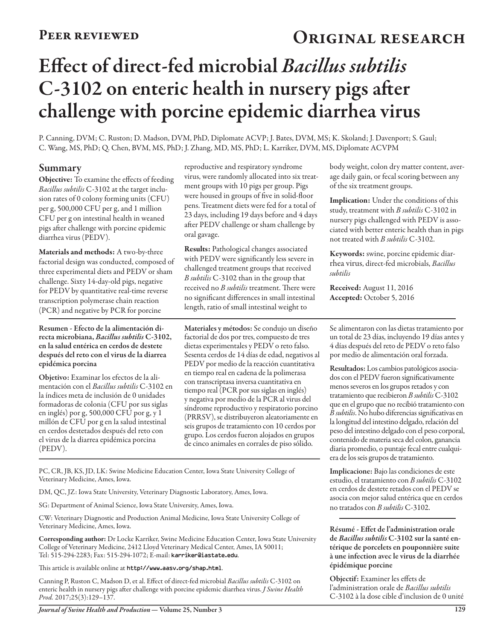## PEER REVIEWED **ORIGINAL RESEARCH**

# Effect of direct-fed microbial *Bacillus subtilis* C-3102 on enteric health in nursery pigs after challenge with porcine epidemic diarrhea virus

P. Canning, DVM; C. Ruston; D. Madson, DVM, PhD, Diplomate ACVP; J. Bates, DVM, MS; K. Skoland; J. Davenport; S. Gaul; C. Wang, MS, PhD; Q. Chen, BVM, MS, PhD; J. Zhang, MD, MS, PhD; L. Karriker, DVM, MS, Diplomate ACVPM

#### Summary

Objective: To examine the effects of feeding *Bacillus subtilis* C-3102 at the target inclusion rates of 0 colony forming units (CFU) per g, 500,000 CFU per g, and 1 million CFU per g on intestinal health in weaned pigs after challenge with porcine epidemic diarrhea virus (PEDV).

Materials and methods: A two-by-three factorial design was conducted, composed of three experimental diets and PEDV or sham challenge. Sixty 14-day-old pigs, negative for PEDV by quantitative real-time reverse transcription polymerase chain reaction (PCR) and negative by PCR for porcine

Resumen - Efecto de la alimentación directa microbiana, *Bacillus subtilis* C-3102, en la salud entérica en cerdos de destete después del reto con el virus de la diarrea epidémica porcina

Objetivo: Examinar los efectos de la alimentación con el *Bacillus subtilis* C-3102 en la índices meta de inclusión de 0 unidades formadoras de colonia (CFU por sus siglas en inglés) por g, 500,000 CFU por g, y 1 millón de CFU por g en la salud intestinal en cerdos destetados después del reto con el virus de la diarrea epidémica porcina (PEDV).

reproductive and respiratory syndrome virus, were randomly allocated into six treatment groups with 10 pigs per group. Pigs were housed in groups of five in solid-floor pens. Treatment diets were fed for a total of 23 days, including 19 days before and 4 days after PEDV challenge or sham challenge by oral gavage.

Results: Pathological changes associated with PEDV were significantly less severe in challenged treatment groups that received *B subtilis* C-3102 than in the group that received no *B subtilis* treatment. There were no significant differences in small intestinal length, ratio of small intestinal weight to

Materiales y métodos: Se condujo un diseño factorial de dos por tres, compuesto de tres dietas experimentales y PEDV o reto falso. Sesenta cerdos de 14 días de edad, negativos al PEDV por medio de la reacción cuantitativa en tiempo real en cadena de la polimerasa con transcriptasa inversa cuantitativa en tiempo real (PCR por sus siglas en inglés) y negativa por medio de la PCR al virus del síndrome reproductivo y respiratorio porcino (PRRSV), se distribuyeron aleatoriamente en seis grupos de tratamiento con 10 cerdos por grupo. Los cerdos fueron alojados en grupos de cinco animales en corrales de piso sólido.

PC, CR, JB, KS, JD, LK: Swine Medicine Education Center, Iowa State University College of Veterinary Medicine, Ames, Iowa.

DM, QC, JZ: Iowa State University, Veterinary Diagnostic Laboratory, Ames, Iowa.

SG: Department of Animal Science, Iowa State University, Ames, Iowa.

CW: Veterinary Diagnostic and Production Animal Medicine, Iowa State University College of Veterinary Medicine, Ames, Iowa.

Corresponding author: Dr Locke Karriker, Swine Medicine Education Center, Iowa State University College of Veterinary Medicine, 2412 Lloyd Veterinary Medical Center, Ames, IA 50011; Tel: 515-294-2283; Fax: 515-294-1072; E-mail: karriker@iastate.edu.

This article is available online at http://www.aasv.org/shap.html.

Canning P, Ruston C, Madson D, et al. Effect of direct-fed microbial *Bacillus subtilis* C-3102 on enteric health in nursery pigs after challenge with porcine epidemic diarrhea virus. *J Swine Health Prod.* 2017;25(3):129–137.

body weight, colon dry matter content, average daily gain, or fecal scoring between any of the six treatment groups.

Implication: Under the conditions of this study, treatment with *B subtilis* C-3102 in nursery pigs challenged with PEDV is associated with better enteric health than in pigs not treated with *B subtilis* C-3102.

Keywords: swine, porcine epidemic diarrhea virus, direct-fed microbials, *Bacillus subtilis*

Received: August 11, 2016 Accepted: October 5, 2016

Se alimentaron con las dietas tratamiento por un total de 23 días, incluyendo 19 días antes y 4 días después del reto de PEDV o reto falso por medio de alimentación oral forzada.

Resultados: Los cambios patológicos asociados con el PEDV fueron significativamente menos severos en los grupos retados y con tratamiento que recibieron *B subtilis* C-3102 que en el grupo que no recibió tratamiento con *B subtilis*. No hubo diferencias significativas en la longitud del intestino delgado, relación del peso del intestino delgado con el peso corporal, contenido de materia seca del colon, ganancia diaria promedio, o puntaje fecal entre cualquiera de los seis grupos de tratamiento.

Implicacione: Bajo las condiciones de este estudio, el tratamiento con *B subtilis* C-3102 en cerdos de destete retados con el PEDV se asocia con mejor salud entérica que en cerdos no tratados con *B subtilis* C-3102.

Résumé - Effet de l'administration orale de *Bacillus subtilis* C-3102 sur la santé entérique de porcelets en pouponnière suite à une infection avec le virus de la diarrhée épidémique porcine

Objectif: Examiner les effets de l'administration orale de *Bacillus subtilis* C-3102 à la dose cible d'inclusion de 0 unité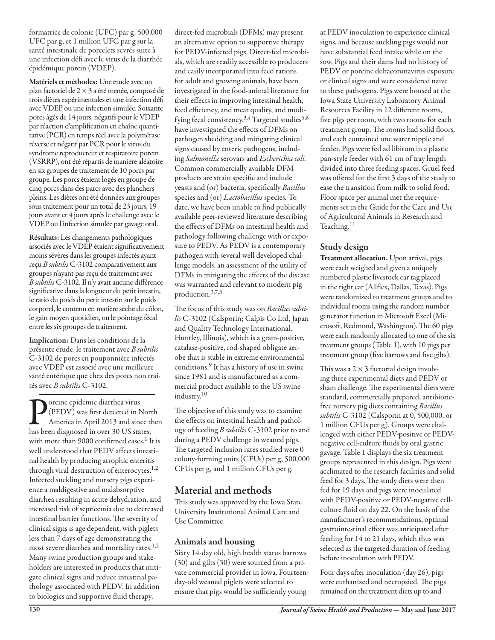formatrice de colonie (UFC) par g, 500,000 UFC par g, et 1 million UFC par g sur la santé intestinale de porcelets sevrés suite à une infection défi avec le virus de la diarrhée épidémique porcin (VDEP).

Matériels et méthodes: Une étude avec un plan factoriel de 2 × 3 a été menée, composé de trois diètes expérimentales et une infection défi avec VDEP ou une infection simulée. Soixante porcs âgés de 14 jours, négatifs pour le VDEP par réaction d'amplification en chaîne quantitative (PCR) en temps réel avec la polymérase réverse et négatif par PCR pour le virus du syndrome reproducteur et respiratoire porcin (VSRRP), ont été répartis de manière aléatoire en six groupes de traitement de 10 porcs par groupe. Les porcs étaient logés en groupe de cinq porcs dans des parcs avec des planchers pleins. Les diètes ont été données aux groupes sous traitement pour un total de 23 jours, 19 jours avant et 4 jours après le challenge avec le VDEP ou l'infection simulée par gavage oral.

Résultats: Les changements pathologiques associés avec le VDEP étaient significativement moins sévères dans les groupes infectés ayant reçu *B subtilis* C-3102 comparativement aux groupes n'ayant pas reçu de traitement avec *B subtilis* C-3102. Il n'y avait aucune différence significative dans la longueur du petit intestin, le ratio du poids du petit intestin sur le poids corporel, le contenu en matière sèche du côlon, le gain moyen quotidien, ou le pointage fécal entre les six groupes de traitement.

Implication: Dans les conditions de la présente étude, le traitement avec *B subtilis* C-3102 de porcs en pouponnière infectés avec VDEP est associé avec une meilleure santé entérique que chez des porcs non traités avec *B subtilis* C-3102.

**P**orcine epidemic diarrhea virus<br>(PEDV) was first detected in N<br>America in April 2013 and sing<br>has been diagnosed in over 30 US sta (PEDV) was first detected in North America in April 2013 and since then has been diagnosed in over 30 US states, with more than 9000 confirmed cases.<sup>1</sup> It is well understood that PEDV affects intestinal health by producing atrophic enteritis through viral destruction of enterocytes.<sup>1,2</sup> Infected suckling and nursery pigs experience a maldigestive and malabsorptive diarrhea resulting in acute dehydration, and increased risk of septicemia due to decreased intestinal barrier functions. The severity of clinical signs is age dependent, with piglets less than 7 days of age demonstrating the most severe diarrhea and mortality rates.<sup>1,2</sup> Many swine production groups and stakeholders are interested in products that mitigate clinical signs and reduce intestinal pathology associated with PEDV. In addition to biologics and supportive fluid therapy,

direct-fed microbials (DFMs) may present an alternative option to supportive therapy for PEDV-infected pigs. Direct-fed microbials, which are readily accessible to producers and easily incorporated into feed rations for adult and growing animals, have been investigated in the food-animal literature for their effects in improving intestinal health, feed efficiency, and meat quality, and modifying fecal consistency.<sup>3,4</sup> Targeted studies<sup>5,6</sup> have investigated the effects of DFMs on pathogen shedding and mitigating clinical signs caused by enteric pathogens, including *Salmonella* serovars and *Escherichia coli.* Common commercially available DFM products are strain specific and include yeasts and (or) bacteria, specifically *Bacillus*  species and (or) *Lactobacillus* species*.* To date, we have been unable to find publically available peer-reviewed literature describing the effects of DFMs on intestinal health and pathology following challenge with or exposure to PEDV. As PEDV is a contemporary pathogen with several well developed challenge models, an assessment of the utility of DFMs in mitigating the effects of the disease was warranted and relevant to modern pig production.3,7,8

The focus of this study was on *Bacillus subtilis* C-3102 (Calsporin; Calpis Co Ltd, Japan and Quality Technology International, Huntley, Illinois), which is a gram-positive, catalase-positive, rod-shaped obligate aerobe that is stable in extreme environmental conditions.9 It has a history of use in swine since 1981 and is manufactured as a commercial product available to the US swine industry.10

The objective of this study was to examine the effects on intestinal health and pathology of feeding *B subtilis* C-3102 prior to and during a PEDV challenge in weaned pigs. The targeted inclusion rates studied were 0 colony-forming units (CFUs) per g, 500,000 CFUs per g, and 1 million CFUs per g.

#### Material and methods

This study was approved by the Iowa State University Institutional Animal Care and Use Committee.

#### Animals and housing

Sixty 14-day old, high health status barrows (30) and gilts (30) were sourced from a private commercial provider in Iowa. Fourteenday-old weaned piglets were selected to ensure that pigs would be sufficiently young

at PEDV inoculation to experience clinical signs, and because suckling pigs would not have substantial feed intake while on the sow. Pigs and their dams had no history of PEDV or porcine deltacoronavirus exposure or clinical signs and were considered naive to these pathogens. Pigs were housed at the Iowa State University Laboratory Animal Resources Facility in 12 different rooms, five pigs per room, with two rooms for each treatment group. The rooms had solid floors, and each contained one water nipple and feeder. Pigs were fed ad libitum in a plastic pan-style feeder with 61 cm of tray length divided into three feeding spaces. Gruel feed was offered for the first 3 days of the study to ease the transition from milk to solid food. Floor space per animal met the requirements set in the Guide for the Care and Use of Agricultural Animals in Research and Teaching.11

#### Study design

Treatment allocation. Upon arrival, pigs were each weighed and given a uniquely numbered plastic livestock ear tag placed in the right ear (Allflex, Dallas, Texas). Pigs were randomized to treatment groups and to individual rooms using the random number generator function in Microsoft Excel (Microsoft, Redmond, Washington). The 60 pigs were each randomly allocated to one of the six treatment groups (Table 1), with 10 pigs per treatment group (five barrows and five gilts).

This was a  $2 \times 3$  factorial design involving three experimental diets and PEDV or sham challenge. The experimental diets were standard, commercially prepared, antibioticfree nursery pig diets containing *Bacillus subtilis* C-3102 (Calsporin at 0, 500,000, or 1 million CFUs per g). Groups were challenged with either PEDV-positive or PEDVnegative cell-culture fluids by oral gastric gavage. Table 1 displays the six treatment groups represented in this design. Pigs were acclimated to the research facilities and solid feed for 3 days. The study diets were then fed for 19 days and pigs were inoculated with PEDV-positive or PEDV-negative cellculture fluid on day 22. On the basis of the manufacturer's recommendations, optimal gastrointestinal effect was anticipated after feeding for 14 to 21 days, which thus was selected as the targeted duration of feeding before inoculation with PEDV.

Four days after inoculation (day 26), pigs were euthanized and necropsied. The pigs remained on the treatment diets up to and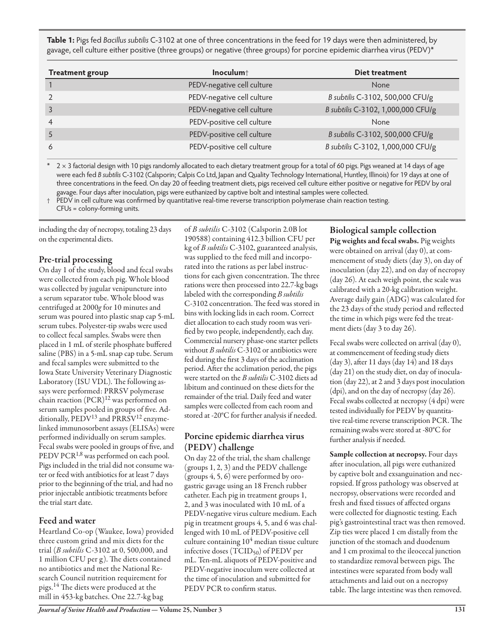**Table 1:** Pigs fed *Bacillus subtilis* C-3102 at one of three concentrations in the feed for 19 days were then administered, by gavage, cell culture either positive (three groups) or negative (three groups) for porcine epidemic diarrhea virus (PEDV)\*

| <b>Treatment group</b> | Inoculum <sup>+</sup>      | <b>Diet treatment</b>              |
|------------------------|----------------------------|------------------------------------|
|                        | PEDV-negative cell culture | None                               |
|                        | PEDV-negative cell culture | B subtilis C-3102, 500,000 CFU/g   |
| $\overline{3}$         | PEDV-negative cell culture | B subtilis C-3102, 1,000,000 CFU/g |
| $\overline{4}$         | PEDV-positive cell culture | None                               |
|                        | PEDV-positive cell culture | B subtilis C-3102, 500,000 CFU/g   |
| 6                      | PEDV-positive cell culture | B subtilis C-3102, 1,000,000 CFU/g |

2 × 3 factorial design with 10 pigs randomly allocated to each dietary treatment group for a total of 60 pigs. Pigs weaned at 14 days of age were each fed *B subtilis* C-3102 (Calsporin; Calpis Co Ltd, Japan and Quality Technology International, Huntley, Illinois) for 19 days at one of three concentrations in the feed. On day 20 of feeding treatment diets, pigs received cell culture either positive or negative for PEDV by oral gavage. Four days after inoculation, pigs were euthanized by captive bolt and intestinal samples were collected.

PEDV in cell culture was confirmed by quantitative real-time reverse transcription polymerase chain reaction testing.

CFUs = colony-forming units.

including the day of necropsy, totaling 23 days on the experimental diets.

#### Pre-trial processing

On day 1 of the study, blood and fecal swabs were collected from each pig. Whole blood was collected by jugular venipuncture into a serum separator tube. Whole blood was centrifuged at 2000*g* for 10 minutes and serum was poured into plastic snap cap 5-mL serum tubes. Polyester-tip swabs were used to collect fecal samples. Swabs were then placed in 1 mL of sterile phosphate buffered saline (PBS) in a 5-mL snap cap tube. Serum and fecal samples were submitted to the Iowa State University Veterinary Diagnostic Laboratory (ISU VDL). The following assays were performed: PRRSV polymerase chain reaction (PCR)<sup>12</sup> was performed on serum samples pooled in groups of five. Additionally,  $\text{PEDV}^{13}$  and  $\text{PRRSV}^{12}$  enzymelinked immunosorbent assays (ELISAs) were performed individually on serum samples. Fecal swabs were pooled in groups of five, and PEDV PCR<sup>1,8</sup> was performed on each pool. Pigs included in the trial did not consume water or feed with antibiotics for at least 7 days prior to the beginning of the trial, and had no prior injectable antibiotic treatments before the trial start date.

#### Feed and water

Heartland Co-op (Waukee, Iowa) provided three custom grind and mix diets for the trial (*B subtilis* C-3102 at 0, 500,000, and 1 million CFU per g). The diets contained no antibiotics and met the National Research Council nutrition requirement for pigs.14 The diets were produced at the mill in 453-kg batches. One 22.7-kg bag

of *B subtilis* C-3102 (Calsporin 2.0B lot 190588) containing 412.3 billion CFU per kg of *B subtilis* C-3102, guaranteed analysis, was supplied to the feed mill and incorporated into the rations as per label instructions for each given concentration. The three rations were then processed into 22.7-kg bags labeled with the corresponding *B subtilis* C-3102 concentration. The feed was stored in bins with locking lids in each room. Correct diet allocation to each study room was verified by two people, independently, each day. Commercial nursery phase-one starter pellets without *B subtilis* C-3102 or antibiotics were fed during the first 3 days of the acclimation period. After the acclimation period, the pigs were started on the *B subtilis* C-3102 diets ad libitum and continued on these diets for the remainder of the trial. Daily feed and water samples were collected from each room and stored at -20°C for further analysis if needed.

#### Porcine epidemic diarrhea virus (PEDV) challenge

On day 22 of the trial, the sham challenge (groups 1, 2, 3) and the PEDV challenge (groups 4, 5, 6) were performed by orogastric gavage using an 18 French rubber catheter. Each pig in treatment groups 1, 2, and 3 was inoculated with 10 mL of a PEDV-negative virus culture medium. Each pig in treatment groups 4, 5, and 6 was challenged with 10 mL of PEDV-positive cell culture containing  $10^4$  median tissue culture infective doses (TCID<sub>50</sub>) of PEDV per mL. Ten-mL aliquots of PEDV-positive and PEDV-negative inoculum were collected at the time of inoculation and submitted for PEDV PCR to confirm status.

#### Biological sample collection

Pig weights and fecal swabs. Pig weights were obtained on arrival (day 0), at commencement of study diets (day 3), on day of inoculation (day 22), and on day of necropsy (day 26). At each weigh point, the scale was calibrated with a 20-kg calibration weight. Average daily gain (ADG) was calculated for the 23 days of the study period and reflected the time in which pigs were fed the treatment diets (day 3 to day 26).

Fecal swabs were collected on arrival (day 0), at commencement of feeding study diets (day 3), after 11 days (day 14) and 18 days (day 21) on the study diet, on day of inoculation (day 22), at 2 and 3 days post inoculation (dpi), and on the day of necropsy (day 26). Fecal swabs collected at necropsy (4 dpi) were tested individually for PEDV by quantitative real-time reverse transcription PCR. The remaining swabs were stored at -80°C for further analysis if needed.

Sample collection at necropsy. Four days after inoculation, all pigs were euthanized by captive bolt and exsanguination and necropsied. If gross pathology was observed at necropsy, observations were recorded and fresh and fixed tissues of affected organs were collected for diagnostic testing. Each pig's gastrointestinal tract was then removed. Zip ties were placed 1 cm distally from the junction of the stomach and duodenum and 1 cm proximal to the ileocecal junction to standardize removal between pigs. The intestines were separated from body wall attachments and laid out on a necropsy table. The large intestine was then removed.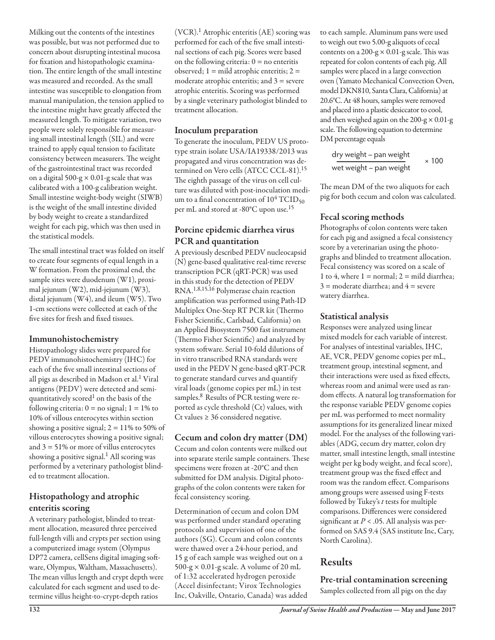Milking out the contents of the intestines was possible, but was not performed due to concern about disrupting intestinal mucosa for fixation and histopathologic examination. The entire length of the small intestine was measured and recorded. As the small intestine was susceptible to elongation from manual manipulation, the tension applied to the intestine might have greatly affected the measured length. To mitigate variation, two people were solely responsible for measuring small intestinal length (SIL) and were trained to apply equal tension to facilitate consistency between measurers. The weight of the gastrointestinal tract was recorded on a digital 500-g  $\times$  0.01-g scale that was calibrated with a 100-g calibration weight. Small intestine weight-body weight (SIWB) is the weight of the small intestine divided by body weight to create a standardized weight for each pig, which was then used in the statistical models.

The small intestinal tract was folded on itself to create four segments of equal length in a W formation. From the proximal end, the sample sites were duodenum (W1), proximal jejunum (W2), mid-jejunum (W3), distal jejunum (W4), and ileum (W5). Two 1-cm sections were collected at each of the five sites for fresh and fixed tissues.

#### Immunohistochemistry

Histopathology slides were prepared for PEDV immunohistochemistry (IHC) for each of the five small intestinal sections of all pigs as described in Madson et al.<sup>1</sup> Viral antigens (PEDV) were detected and semiquantitatively scored<sup>1</sup> on the basis of the following criteria:  $0 =$  no signal;  $1 = 1\%$  to 10% of villous enterocytes within section showing a positive signal;  $2 = 11\%$  to 50% of villous enterocytes showing a positive signal; and  $3 = 51\%$  or more of villus enterocytes showing a positive signal.<sup>1</sup> All scoring was performed by a veterinary pathologist blinded to treatment allocation.

#### Histopathology and atrophic enteritis scoring

A veterinary pathologist, blinded to treatment allocation, measured three perceived full-length villi and crypts per section using a computerized image system (Olympus DP72 camera, cellSens digital imaging software, Olympus, Waltham, Massachusetts). The mean villus length and crypt depth were calculated for each segment and used to determine villus height-to-crypt-depth ratios

(VCR).1 Atrophic enteritis (AE) scoring was performed for each of the five small intestinal sections of each pig. Scores were based on the following criteria:  $0 =$  no enteritis observed;  $1 =$  mild atrophic enteritis;  $2 =$ moderate atrophic enteritis; and  $3 =$  severe atrophic enteritis. Scoring was performed by a single veterinary pathologist blinded to treatment allocation.

#### Inoculum preparation

To generate the inoculum, PEDV US prototype strain isolate USA/IA19338/2013 was propagated and virus concentration was determined on Vero cells (ATCC CCL-81).<sup>15</sup> The eighth passage of the virus on cell culture was diluted with post-inoculation medium to a final concentration of  $10^4$  TCID<sub>50</sub> per mL and stored at -80°C upon use.<sup>15</sup>

#### Porcine epidemic diarrhea virus PCR and quantitation

A previously described PEDV nucleocapsid (N) gene-based qualitative real-time reverse transcription PCR (qRT-PCR) was used in this study for the detection of PEDV RNA.1,8,15,16 Polymerase chain reaction amplification was performed using Path-ID Multiplex One-Step RT PCR kit (Thermo Fisher Scientific, Carlsbad, California) on an Applied Biosystem 7500 fast instrument (Thermo Fisher Scientific) and analyzed by system software. Serial 10-fold dilutions of in vitro transcribed RNA standards were used in the PEDV N gene-based qRT-PCR to generate standard curves and quantify viral loads (genome copies per mL) in test samples.<sup>8</sup> Results of PCR testing were reported as cycle threshold (Ct) values, with Ct values ≥ 36 considered negative.

#### Cecum and colon dry matter (DM)

Cecum and colon contents were milked out into separate sterile sample containers. These specimens were frozen at -20°C and then submitted for DM analysis. Digital photographs of the colon contents were taken for fecal consistency scoring.

Determination of cecum and colon DM was performed under standard operating protocols and supervision of one of the authors (SG). Cecum and colon contents were thawed over a 24-hour period, and 15 g of each sample was weighed out on a 500-g  $\times$  0.01-g scale. A volume of 20 mL of 1:32 accelerated hydrogen peroxide (Accel disinfectant; Virox Technologies Inc, Oakville, Ontario, Canada) was added to each sample. Aluminum pans were used to weigh out two 5.00-g aliquots of cecal contents on a 200-g  $\times$  0.01-g scale. This was repeated for colon contents of each pig. All samples were placed in a large convection oven (Yamato Mechanical Convection Oven, model DKN810, Santa Clara, California) at 20.6°C. At 48 hours, samples were removed and placed into a plastic desiccator to cool, and then weighed again on the  $200-g \times 0.01-g$ scale. The following equation to determine DM percentage equals

$$
\frac{dry\ weight - pan\ weight}{wet\ weight - pan\ weight} \times 100
$$

The mean DM of the two aliquots for each pig for both cecum and colon was calculated.

#### Fecal scoring methods

Photographs of colon contents were taken for each pig and assigned a fecal consistency score by a veterinarian using the photographs and blinded to treatment allocation. Fecal consistency was scored on a scale of 1 to 4, where  $1 =$  normal;  $2 =$  mild diarrhea;  $3 =$  moderate diarrhea; and  $4 =$  severe watery diarrhea.

#### Statistical analysis

Responses were analyzed using linear mixed models for each variable of interest. For analyses of intestinal variables, IHC, AE, VCR, PEDV genome copies per mL, treatment group, intestinal segment, and their interactions were used as fixed effects, whereas room and animal were used as random effects. A natural log transformation for the response variable PEDV genome copies per mL was performed to meet normality assumptions for its generalized linear mixed model. For the analyses of the following variables (ADG, cecum dry matter, colon dry matter, small intestine length, small intestine weight per kg body weight, and fecal score), treatment group was the fixed effect and room was the random effect. Comparisons among groups were assessed using F-tests followed by Tukey's *t* tests for multiple comparisons. Differences were considered significant at *P* < .05. All analysis was performed on SAS 9.4 (SAS institute Inc, Cary, North Carolina).

### Results

Pre-trial contamination screening Samples collected from all pigs on the day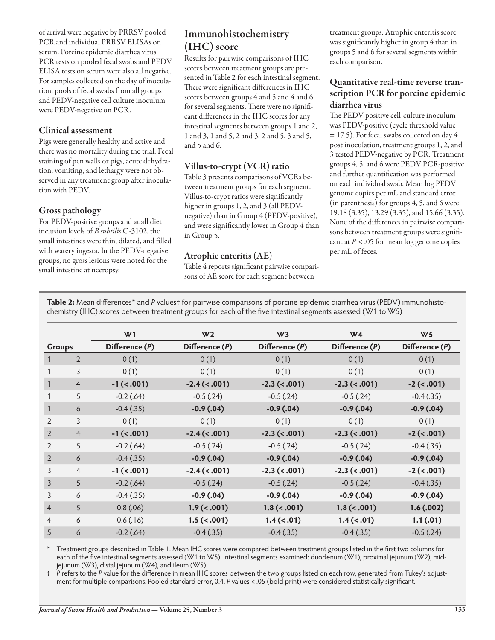of arrival were negative by PRRSV pooled PCR and individual PRRSV ELISAs on serum. Porcine epidemic diarrhea virus PCR tests on pooled fecal swabs and PEDV ELISA tests on serum were also all negative. For samples collected on the day of inoculation, pools of fecal swabs from all groups and PEDV-negative cell culture inoculum were PEDV-negative on PCR.

#### Clinical assessment

Pigs were generally healthy and active and there was no mortality during the trial. Fecal staining of pen walls or pigs, acute dehydration, vomiting, and lethargy were not observed in any treatment group after inoculation with PEDV.

#### Gross pathology

For PEDV-positive groups and at all diet inclusion levels of *B subtilis* C-3102, the small intestines were thin, dilated, and filled with watery ingesta. In the PEDV-negative groups, no gross lesions were noted for the small intestine at necropsy.

### Immunohistochemistry (IHC) score

Results for pairwise comparisons of IHC scores between treatment groups are presented in Table 2 for each intestinal segment. There were significant differences in IHC scores between groups 4 and 5 and 4 and 6 for several segments. There were no significant differences in the IHC scores for any intestinal segments between groups 1 and 2, 1 and 3, 1 and 5, 2 and 3, 2 and 5, 3 and 5, and 5 and 6.

#### Villus-to-crypt (VCR) ratio

Table 3 presents comparisons of VCRs between treatment groups for each segment. Villus-to-crypt ratios were significantly higher in groups 1, 2, and 3 (all PEDVnegative) than in Group 4 (PEDV-positive), and were significantly lower in Group 4 than in Group 5.

#### Atrophic enteritis (AE)

Table 4 reports significant pairwise comparisons of AE score for each segment between

treatment groups. Atrophic enteritis score was significantly higher in group 4 than in groups 5 and 6 for several segments within each comparison.

#### Quantitative real-time reverse transcription PCR for porcine epidemic diarrhea virus

The PEDV-positive cell-culture inoculum was PEDV-positive (cycle threshold value = 17.5). For fecal swabs collected on day 4 post inoculation, treatment groups 1, 2, and 3 tested PEDV-negative by PCR. Treatment groups 4, 5, and 6 were PEDV PCR-positive and further quantification was performed on each individual swab. Mean log PEDV genome copies per mL and standard error (in parenthesis) for groups 4, 5, and 6 were 19.18 (3.35), 13.29 (3.35), and 15.66 (3.35). None of the differences in pairwise comparisons between treatment groups were significant at  $P < .05$  for mean log genome copies per mL of feces.

**Table 2:** Mean differences\* and *P* values† for pairwise comparisons of porcine epidemic diarrhea virus (PEDV) immunohistochemistry (IHC) scores between treatment groups for each of the five intestinal segments assessed (W1 to W5)

|                |                | W <sub>1</sub> | W <sub>2</sub>  | W <sub>3</sub> | W <sub>4</sub>   | W <sub>5</sub> |
|----------------|----------------|----------------|-----------------|----------------|------------------|----------------|
| Groups         |                | Difference (P) | Difference (P)  | Difference (P) | Difference (P)   | Difference (P) |
| 1              | $\overline{2}$ | 0(1)           | 0(1)            | 0(1)           | 0(1)             | 0(1)           |
|                | 3              | 0(1)           | 0(1)            | 0(1)           | 0(1)             | 0(1)           |
| 1              | $\overline{4}$ | $-1$ (<.001)   | $-2.4$ (< .001) | $-2.3$ (<.001) | $-2.3$ (< .001)  | $-2$ (< .001)  |
|                | 5              | $-0.2$ (.64)   | $-0.5$ (.24)    | $-0.5$ (.24)   | $-0.5$ (.24)     | $-0.4(.35)$    |
| 1              | 6              | $-0.4(.35)$    | $-0.9(0.04)$    | $-0.9(0.04)$   | $-0.9(0.04)$     | $-0.9(0.04)$   |
| 2              | 3              | 0(1)           | 0(1)            | 0(1)           | 0(1)             | 0(1)           |
| 2              | $\overline{4}$ | $-1$ (< .001)  | $-2.4$ (<.001)  | $-2.3$ (<.001) | $-2.3$ (<.001)   | $-2 (< .001)$  |
| 2              | 5              | $-0.2$ (.64)   | $-0.5$ (.24)    | $-0.5$ $(.24)$ | $-0.5$ (.24)     | $-0.4(.35)$    |
| $\overline{2}$ | 6              | $-0.4(.35)$    | $-0.9(0.04)$    | $-0.9(0.04)$   | $-0.9(0.04)$     | $-0.9(0.04)$   |
| 3              | $\overline{4}$ | $-1$ (<.001)   | $-2.4$ (< .001) | $-2.3$ (<.001) | $-2.3$ (<.001)   | $-2 (< .001)$  |
| 3              | 5              | $-0.2$ (.64)   | $-0.5$ (.24)    | $-0.5$ (.24)   | $-0.5$ (.24)     | $-0.4(.35)$    |
| 3              | 6              | $-0.4(.35)$    | $-0.9(0.04)$    | $-0.9(0.04)$   | $-0.9(0.04)$     | $-0.9(0.04)$   |
| $\overline{4}$ | 5              | 0.8(.06)       | $1.9$ (< .001)  | 1.8 (< .001)   | 1.8 (< .001)     | 1.6(0.002)     |
| $\overline{4}$ | 6              | 0.6(0.16)      | $1.5$ (< .001)  | $1.4$ (< .01)  | $1.4 \times .01$ | 1.1(0.01)      |
| 5              | 6              | $-0.2$ (.64)   | $-0.4(0.35)$    | $-0.4(.35)$    | $-0.4(.35)$      | $-0.5$ (.24)   |

\* Treatment groups described in Table 1. Mean IHC scores were compared between treatment groups listed in the first two columns for each of the five intestinal segments assessed (W1 to W5). Intestinal segments examined: duodenum (W1), proximal jejunum (W2), midjejunum (W3), distal jejunum (W4), and ileum (W5).

† *P* refers to the *P* value for the difference in mean IHC scores between the two groups listed on each row, generated from Tukey's adjustment for multiple comparisons. Pooled standard error, 0.4. *P* values < .05 (bold print) were considered statistically significant.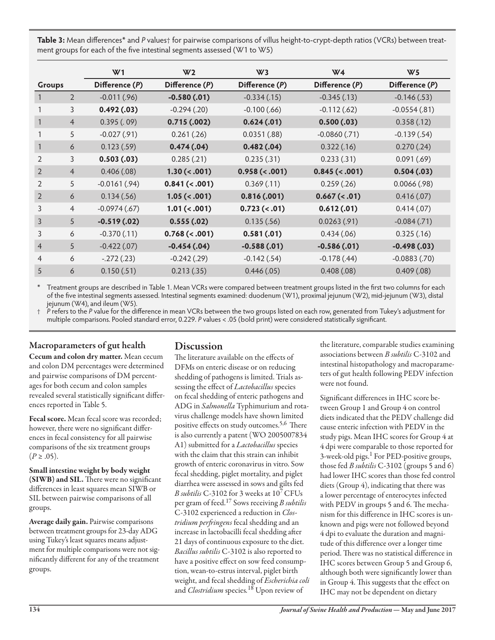**Table 3:** Mean differences\* and *P* values† for pairwise comparisons of villus height-to-crypt-depth ratios (VCRs) between treatment groups for each of the five intestinal segments assessed (W1 to W5)

|                |                | W <sub>1</sub> | W <sub>2</sub>     | W <sub>3</sub>      | W <sub>4</sub>     | W <sub>5</sub>    |
|----------------|----------------|----------------|--------------------|---------------------|--------------------|-------------------|
| Groups         |                | Difference (P) | Difference (P)     | Difference (P)      | Difference (P)     | Difference (P)    |
|                | $\overline{2}$ | $-0.011(.96)$  | $-0.580(.01)$      | $-0.334(.15)$       | $-0.345(.13)$      | $-0.146(.53)$     |
|                | 3              | 0.492(0.03)    | $-0.294(0.20)$     | $-0.100(.66)$       | $-0.112(.62)$      | $-0.0554(.81)$    |
|                | $\overline{4}$ | 0.395(.09)     | 0.715(0.002)       | 0.624(0.01)         | 0.500(0.03)        | 0.358(.12)        |
|                | 5              | $-0.027(.91)$  | 0.261(.26)         | 0.0351(.88)         | $-0.0860(.71)$     | $-0.139(.54)$     |
| 1              | 6              | 0.123(.59)     | 0.474(0.4)         | 0.482(.04)          | 0.322(.16)         | 0.270(.24)        |
| $\overline{2}$ | 3              | 0.503(0.03)    | 0.285(.21)         | 0.235(.31)          | 0.233(.31)         | 0.091(.69)        |
| 2              | $\overline{4}$ | 0.406(.08)     | $1.30 \times .001$ | $0.958 \, (< .001)$ | 0.845 (< .001)     | 0.504(0.03)       |
| 2              | 5              | $-0.0161(.94)$ | 0.841 (< .001)     | 0.369(0.11)         | 0.259(.26)         | $0.0066$ $(.98)$  |
| 2              | 6              | 0.134(.56)     | $1.05 \; (< .001)$ | 0.816(0.001)        | $0.667 \, (< .01)$ | 0.416(0.07)       |
| 3              | $\overline{4}$ | $-0.0974(.67)$ | 1.01 (< .001)      | $0.723$ (<.01)      | 0.612(0.01)        | 0.414(07)         |
| 3              | 5              | $-0.519(0.02)$ | 0.555(0.02)        | 0.135(.56)          | 0.0263(.91)        | $-0.084(.71)$     |
| 3              | 6              | $-0.370(.11)$  | 0.768 (< .001)     | 0.581(0.01)         | 0.434(.06)         | 0.325(.16)        |
| $\overline{4}$ | 5              | $-0.422(.07)$  | $-0.454(.04)$      | $-0.588(.01)$       | $-0.586(.01)$      | $-0.498(.03)$     |
| $\overline{4}$ | 6              | $-.272(.23)$   | $-0.242(.29)$      | $-0.142(.54)$       | $-0.178(.44)$      | $-0.0883$ $(.70)$ |
| 5              | 6              | 0.150(.51)     | 0.213(.35)         | 0.446(0.05)         | 0.408(.08)         | 0.409(.08)        |

Treatment groups are described in Table 1. Mean VCRs were compared between treatment groups listed in the first two columns for each of the five intestinal segments assessed. Intestinal segments examined: duodenum (W1), proximal jejunum (W2), mid-jejunum (W3), distal jejunum (W4), and ileum (W5).

† *P* refers to the *P* value for the difference in mean VCRs between the two groups listed on each row, generated from Tukey's adjustment for multiple comparisons. Pooled standard error, 0.229. *P* values < .05 (bold print) were considered statistically significant.

#### Macroparameters of gut health

Cecum and colon dry matter. Mean cecum and colon DM percentages were determined and pairwise comparisons of DM percentages for both cecum and colon samples revealed several statistically significant differences reported in Table 5.

Fecal score. Mean fecal score was recorded; however, there were no significant differences in fecal consistency for all pairwise comparisons of the six treatment groups  $(P \ge .05)$ .

Small intestine weight by body weight (SIWB) and SIL. There were no significant differences in least squares mean SIWB or SIL between pairwise comparisons of all groups.

Average daily gain. Pairwise comparisons between treatment groups for 23-day ADG using Tukey's least squares means adjustment for multiple comparisons were not significantly different for any of the treatment groups.

#### **Discussion**

The literature available on the effects of DFMs on enteric disease or on reducing shedding of pathogens is limited. Trials assessing the effect of *Lactobacillus* species on fecal shedding of enteric pathogens and ADG in *Salmonella* Typhimurium and rotavirus challenge models have shown limited positive effects on study outcomes.<sup>5,6</sup> There is also currently a patent (WO 2005007834 A1) submitted for a *Lactobacillus* species with the claim that this strain can inhibit growth of enteric coronavirus in vitro. Sow fecal shedding, piglet mortality, and piglet diarrhea were assessed in sows and gilts fed *B subtilis* C-3102 for 3 weeks at 107 CFUs per gram of feed.17 Sows receiving *B subtilis* C-3102 experienced a reduction in *Clostridium perfringens* fecal shedding and an increase in lactobacilli fecal shedding after 21 days of continuous exposure to the diet. *Bacillus subtilis* C-3102 is also reported to have a positive effect on sow feed consumption, wean-to-estrus interval, piglet birth weight, and fecal shedding of *Escherichia coli*  and *Clostridium* species*.* 18 Upon review of

the literature, comparable studies examining associations between *B subtilis* C-3102 and intestinal histopathology and macroparameters of gut health following PEDV infection were not found.

Significant differences in IHC score between Group 1 and Group 4 on control diets indicated that the PEDV challenge did cause enteric infection with PEDV in the study pigs. Mean IHC scores for Group 4 at 4 dpi were comparable to those reported for 3-week-old pigs.<sup>1</sup> For PED-positive groups, those fed *B subtilis* C-3102 (groups 5 and 6) had lower IHC scores than those fed control diets (Group 4), indicating that there was a lower percentage of enterocytes infected with PEDV in groups 5 and 6. The mechanism for this difference in IHC scores is unknown and pigs were not followed beyond 4 dpi to evaluate the duration and magnitude of this difference over a longer time period. There was no statistical difference in IHC scores between Group 5 and Group 6, although both were significantly lower than in Group 4. This suggests that the effect on IHC may not be dependent on dietary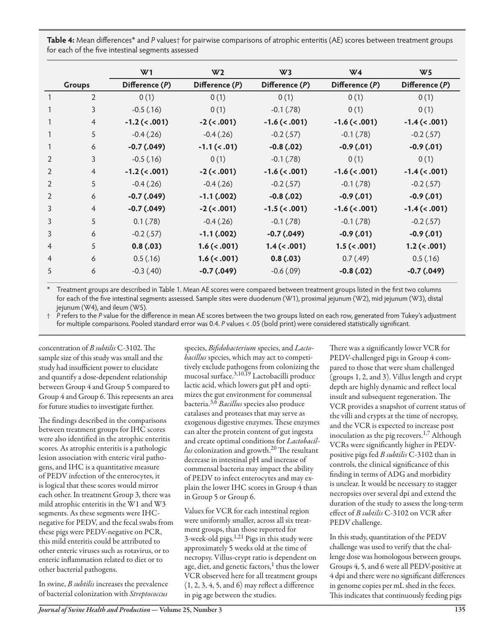| Table 4: Mean differences <sup>*</sup> and P values <sup>†</sup> for pairwise comparisons of atrophic enteritis (AE) scores between treatment groups<br>for each of the five intestinal segments assessed |                  |                  |                  |                  |                  |
|-----------------------------------------------------------------------------------------------------------------------------------------------------------------------------------------------------------|------------------|------------------|------------------|------------------|------------------|
|                                                                                                                                                                                                           | W1               | W2               | W٦               | W4               | W5               |
| <b>Groups</b>                                                                                                                                                                                             | Difference $(P)$ | Difference $(P)$ | Difference $(P)$ | Difference $(P)$ | Difference $(P)$ |

|                | <b>Silvaps</b> | <b>PURCICILLE</b> (1) | <b>PURCICILLE</b> (1) | <b>PURCICILLE</b> (1) | <b>PURCICILLE</b> (1) | <b>PURCICILLE</b> (1) |
|----------------|----------------|-----------------------|-----------------------|-----------------------|-----------------------|-----------------------|
|                | $\overline{2}$ | 0(1)                  | 0(1)                  | 0(1)                  | 0(1)                  | 0(1)                  |
|                | 3              | $-0.5$ (.16)          | 0(1)                  | $-0.1$ $(.78)$        | 0(1)                  | 0(1)                  |
|                | $\overline{4}$ | $-1.2$ (< .001)       | $-2 (< .001)$         | $-1.6$ (< .001)       | $-1.6$ (< .001)       | $-1.4$ (< .001)       |
|                | 5              | $-0.4$ (.26)          | $-0.4$ (.26)          | $-0.2$ (.57)          | $-0.1$ $(.78)$        | $-0.2$ (.57)          |
|                | 6              | $-0.7(0.49)$          | $-1.1$ (< .01)        | $-0.8(.02)$           | $-0.9(0.01)$          | $-0.9(0.01)$          |
| 2              | 3              | $-0.5$ (.16)          | 0(1)                  | $-0.1$ $(.78)$        | 0(1)                  | 0(1)                  |
| 2              | $\overline{4}$ | $-1.2$ (< .001)       | $-2 (< .001)$         | $-1.6$ (< .001)       | $-1.6$ (< .001)       | $-1.4$ (< .001)       |
| 2              | 5              | $-0.4(.26)$           | $-0.4(.26)$           | $-0.2$ (.57)          | $-0.1$ $(.78)$        | $-0.2$ (.57)          |
| 2              | 6              | $-0.7(0.49)$          | $-1.1(002)$           | $-0.8(.02)$           | $-0.9(0.01)$          | $-0.9(0.01)$          |
| 3              | $\overline{4}$ | $-0.7(0.49)$          | $-2 (< .001)$         | $-1.5$ (< .001)       | $-1.6$ (< .001)       | $-1.4$ (< .001)       |
| 3              | 5              | 0.1(.78)              | $-0.4$ (.26)          | $-0.1$ $(.78)$        | $-0.1$ $(.78)$        | $-0.2$ (.57)          |
| 3              | 6              | $-0.2$ (.57)          | $-1.1$ (.002)         | $-0.7(0.49)$          | $-0.9(0.01)$          | $-0.9(0.01)$          |
| $\overline{4}$ | 5              | 0.8(0.03)             | $1.6$ (< .001)        | $1.4$ (< .001)        | $1.5$ (<.001)         | $1.2$ (< .001)        |
| $\overline{4}$ | 6              | 0.5(.16)              | $1.6$ (< .001)        | 0.8(0.03)             | 0.7(0.49)             | 0.5(.16)              |
| 5              | 6              | $-0.3(40)$            | $-0.7$ $(.049)$       | $-0.6$ $(.09)$        | $-0.8(.02)$           | $-0.7$ $(.049)$       |
|                |                |                       |                       |                       |                       |                       |

Treatment groups are described in Table 1. Mean AE scores were compared between treatment groups listed in the first two columns for each of the five intestinal segments assessed. Sample sites were duodenum (W1), proximal jejunum (W2), mid jejunum (W3), distal jejunum (W4), and ileum (W5).

† *P* refers to the *P* value for the difference in mean AE scores between the two groups listed on each row, generated from Tukey's adjustment for multiple comparisons. Pooled standard error was 0.4. *P* values < .05 (bold print) were considered statistically significant.

concentration of *B subtilis* C-3102. The sample size of this study was small and the study had insufficient power to elucidate and quantify a dose-dependent relationship between Group 4 and Group 5 compared to Group 4 and Group 6. This represents an area for future studies to investigate further.

The findings described in the comparisons between treatment groups for IHC scores were also identified in the atrophic enteritis scores. As atrophic enteritis is a pathologic lesion association with enteric viral pathogens, and IHC is a quantitative measure of PEDV infection of the enterocytes, it is logical that these scores would mirror each other. In treatment Group 3, there was mild atrophic enteritis in the W1 and W3 segments. As these segments were IHCnegative for PEDV, and the fecal swabs from these pigs were PEDV-negative on PCR, this mild enteritis could be attributed to other enteric viruses such as rotavirus, or to enteric inflammation related to diet or to other bacterial pathogens.

In swine, *B subtilis* increases the prevalence of bacterial colonization with *Streptococcus* 

species, *Bifidobacterium* species, and *Lactobacillus* species, which may act to competitively exclude pathogens from colonizing the mucosal surface.<sup>3,10,19</sup> Lactobacilli produce lactic acid, which lowers gut pH and optimizes the gut environment for commensal bacteria.3,6 *Bacillus* species also produce catalases and proteases that may serve as exogenous digestive enzymes. These enzymes can alter the protein content of gut ingesta and create optimal conditions for *Lactobacil-* $\ell$ us colonization and growth.<sup>20</sup> The resultant decrease in intestinal pH and increase of commensal bacteria may impact the ability of PEDV to infect enterocytes and may explain the lower IHC scores in Group 4 than in Group 5 or Group 6.

Values for VCR for each intestinal region were uniformly smaller, across all six treatment groups, than those reported for 3-week-old pigs.<sup>1,21</sup> Pigs in this study were approximately 5 weeks old at the time of necropsy. Villus-crypt ratio is dependent on age, diet, and genetic factors, $<sup>1</sup>$  thus the lower</sup> VCR observed here for all treatment groups  $(1, 2, 3, 4, 5, \text{ and } 6)$  may reflect a difference in pig age between the studies.

There was a significantly lower VCR for PEDV-challenged pigs in Group 4 compared to those that were sham challenged (groups 1, 2, and 3). Villus length and crypt depth are highly dynamic and reflect local insult and subsequent regeneration. The VCR provides a snapshot of current status of the villi and crypts at the time of necropsy, and the VCR is expected to increase post inoculation as the pig recovers. $1,7$  Although VCRs were significantly higher in PEDVpositive pigs fed *B subtilis* C-3102 than in controls, the clinical significance of this finding in terms of ADG and morbidity is unclear. It would be necessary to stagger necropsies over several dpi and extend the duration of the study to assess the long-term effect of *B subtilis* C-3102 on VCR after PEDV challenge.

In this study, quantitation of the PEDV challenge was used to verify that the challenge dose was homologous between groups. Groups 4, 5, and 6 were all PEDV-positive at 4 dpi and there were no significant differences in genome copies per mL shed in the feces. This indicates that continuously feeding pigs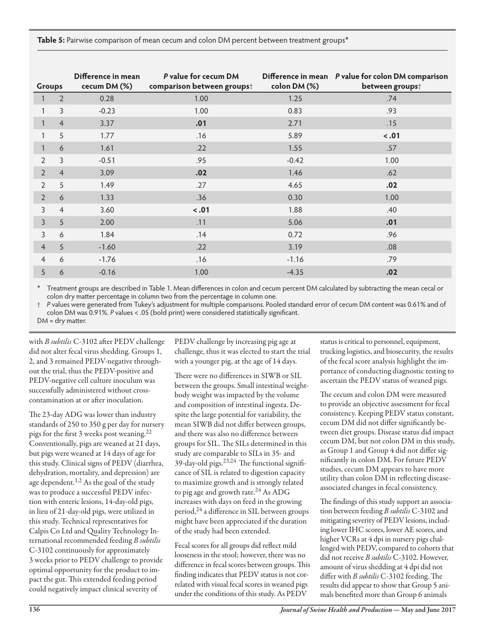**Table 5:** Pairwise comparison of mean cecum and colon DM percent between treatment groups\*

| Groups         |                | Difference in mean<br>cecum DM (%) | P value for cecum DM<br>comparison between groupst | colon DM (%) | Difference in mean P value for colon DM comparison<br>between groups <sup>+</sup> |
|----------------|----------------|------------------------------------|----------------------------------------------------|--------------|-----------------------------------------------------------------------------------|
|                | $\overline{2}$ | 0.28                               | 1.00                                               | 1.25         | .74                                                                               |
|                | 3              | $-0.23$                            | 1.00                                               | 0.83         | .93                                                                               |
|                | $\overline{4}$ | 3.37                               | .01                                                | 2.71         | .15                                                                               |
| 1              | 5              | 1.77                               | .16                                                | 5.89         | $-.01$                                                                            |
| $\mathbf{1}$   | 6              | 1.61                               | .22                                                | 1.55         | .57                                                                               |
| $\overline{2}$ | 3              | $-0.51$                            | .95                                                | $-0.42$      | 1.00                                                                              |
| $\overline{2}$ | $\overline{4}$ | 3.09                               | .02                                                | 1.46         | .62                                                                               |
| 2              | 5              | 1.49                               | .27                                                | 4.65         | .02                                                                               |
| $\overline{2}$ | 6              | 1.33                               | .36                                                | 0.30         | 1.00                                                                              |
| 3              | $\overline{4}$ | 3.60                               | $-.01$                                             | 1.88         | .40                                                                               |
| 3              | 5              | 2.00                               | .11                                                | 5.06         | .01                                                                               |
| 3              | 6              | 1.84                               | .14                                                | 0.72         | .96                                                                               |
| $\overline{4}$ | 5              | $-1.60$                            | .22                                                | 3.19         | .08                                                                               |
| $\overline{4}$ | 6              | $-1.76$                            | .16                                                | $-1.16$      | .79                                                                               |
| 5              | 6              | $-0.16$                            | 1.00                                               | $-4.35$      | .02                                                                               |

Treatment groups are described in Table 1. Mean differences in colon and cecum percent DM calculated by subtracting the mean cecal or colon dry matter percentage in column two from the percentage in column one.

† *P* values were generated from Tukey's adjustment for multiple comparisons. Pooled standard error of cecum DM content was 0.61% and of colon DM was 0.91%. *P* values < .05 (bold print) were considered statistically significant. DM = dry matter.

with *B subtilis* C-3102 after PEDV challenge did not alter fecal virus shedding. Groups 1, 2, and 3 remained PEDV-negative throughout the trial, thus the PEDV-positive and PEDV-negative cell culture inoculum was successfully administered without crosscontamination at or after inoculation.

The 23-day ADG was lower than industry standards of 250 to 350 g per day for nursery pigs for the first 3 weeks post weaning.<sup>22</sup> Conventionally, pigs are weaned at 21 days, but pigs were weaned at 14 days of age for this study. Clinical signs of PEDV (diarrhea, dehydration, mortality, and depression) are age dependent.<sup>1,2</sup> As the goal of the study was to produce a successful PEDV infection with enteric lesions, 14-day-old pigs, in lieu of 21-day-old pigs, were utilized in this study. Technical representatives for Calpis Co Ltd and Quality Technology International recommended feeding *B subtilis* C-3102 continuously for approximately 3 weeks prior to PEDV challenge to provide optimal opportunity for the product to impact the gut. This extended feeding period could negatively impact clinical severity of

PEDV challenge by increasing pig age at challenge, thus it was elected to start the trial with a younger pig, at the age of 14 days.

There were no differences in SIWB or SIL between the groups. Small intestinal weightbody weight was impacted by the volume and composition of intestinal ingesta. Despite the large potential for variability, the mean SIWB did not differ between groups, and there was also no difference between groups for SIL. The SILs determined in this study are comparable to SILs in 35- and 39-day-old pigs.23,24 The functional significance of SIL is related to digestion capacity to maximize growth and is strongly related to pig age and growth rate. $^{24}$  As ADG increases with days on feed in the growing period,<sup>24</sup> a difference in SIL between groups might have been appreciated if the duration of the study had been extended.

Fecal scores for all groups did reflect mild looseness in the stool; however, there was no difference in fecal scores between groups. This finding indicates that PEDV status is not correlated with visual fecal scores in weaned pigs under the conditions of this study. As PEDV

status is critical to personnel, equipment, trucking logistics, and biosecurity, the results of the fecal score analysis highlight the importance of conducting diagnostic testing to ascertain the PEDV status of weaned pigs.

The cecum and colon DM were measured to provide an objective assessment for fecal consistency. Keeping PEDV status constant, cecum DM did not differ significantly between diet groups. Disease status did impact cecum DM, but not colon DM in this study, as Group 1 and Group 4 did not differ significantly in colon DM. For future PEDV studies, cecum DM appears to have more utility than colon DM in reflecting diseaseassociated changes in fecal consistency.

The findings of this study support an association between feeding *B subtilis* C-3102 and mitigating severity of PEDV lesions, including lower IHC scores, lower AE scores, and higher VCRs at 4 dpi in nursery pigs challenged with PEDV, compared to cohorts that did not receive *B subtilis* C-3102. However, amount of virus shedding at 4 dpi did not differ with *B subtilis* C-3102 feeding. The results did appear to show that Group 5 animals benefited more than Group 6 animals